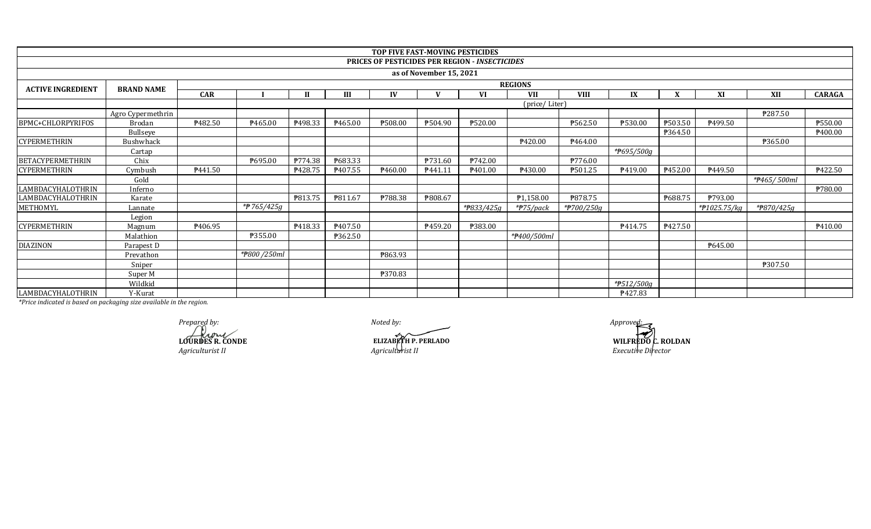|                          |                   |                     |                |              |                     | TOP FIVE FAST-MOVING PESTICIDES |                         |                                                       |                        |             |                         |         |              |                         |                |
|--------------------------|-------------------|---------------------|----------------|--------------|---------------------|---------------------------------|-------------------------|-------------------------------------------------------|------------------------|-------------|-------------------------|---------|--------------|-------------------------|----------------|
|                          |                   |                     |                |              |                     |                                 |                         | <b>PRICES OF PESTICIDES PER REGION - INSECTICIDES</b> |                        |             |                         |         |              |                         |                |
|                          |                   |                     |                |              |                     |                                 | as of November 15, 2021 |                                                       |                        |             |                         |         |              |                         |                |
| <b>ACTIVE INGREDIENT</b> | <b>BRAND NAME</b> |                     | <b>REGIONS</b> |              |                     |                                 |                         |                                                       |                        |             |                         |         |              |                         |                |
|                          |                   | <b>CAR</b>          |                | $\mathbf{H}$ | III                 | IV                              | <b>TT</b>               | VI                                                    | <b>VII</b>             | <b>VIII</b> | IX                      | X       | XI           | XII                     | <b>CARAGA</b>  |
|                          | (price/Liter)     |                     |                |              |                     |                                 |                         |                                                       |                        |             |                         |         |              |                         |                |
|                          | Agro Cypermethrin |                     |                |              |                     |                                 |                         |                                                       |                        |             |                         |         |              | P287.50                 |                |
| BPMC+CHLORPYRIFOS        | Brodan            | ₱482.50             | P465.00        | P498.33      | P465.00             | ₱508.00                         | ₱504.90                 | ₱520.00                                               |                        | ₱562.50     | ₱530.00                 | P503.50 | P499.50      |                         | P550.00        |
|                          | Bullseye          |                     |                |              |                     |                                 |                         |                                                       |                        |             |                         | ₱364.50 |              |                         | P400.00        |
| <b>CYPERMETHRIN</b>      | Bushwhack         |                     |                |              |                     |                                 |                         |                                                       | ₱420.00                | P464.00     |                         |         |              | ₱365.00                 |                |
|                          | Cartap            |                     |                |              |                     |                                 |                         |                                                       |                        |             | * <del>P</del> 695/500g |         |              |                         |                |
| <b>BETACYPERMETHRIN</b>  | Chix              |                     | P695.00        | P774.38      | ₱683.33             |                                 | <b>P731.60</b>          | ₱742.00                                               |                        | ₱776.00     |                         |         |              |                         |                |
| <b>CYPERMETHRIN</b>      | Cymbush           | P441.50             |                | ₱428.75      | P <sub>407.55</sub> | P460.00                         | P441.11                 | P <sub>401.00</sub>                                   | ₱430.00                | ₱501.25     | P419.00                 | P452.00 | P449.50      |                         | ₱422.50        |
|                          | Gold              |                     |                |              |                     |                                 |                         |                                                       |                        |             |                         |         |              | *#465/500ml             |                |
| LAMBDACYHALOTHRIN        | Inferno           |                     |                |              |                     |                                 |                         |                                                       |                        |             |                         |         |              |                         | <b>P780.00</b> |
| LAMBDACYHALOTHRIN        | Karate            |                     |                | P813.75      | P811.67             | ₱788.38                         | ₱808.67                 |                                                       | ₱1,158.00              | ₱878.75     |                         | ₱688.75 | ₱793.00      |                         |                |
| METHOMYL                 | Lannate           |                     | *P 765/425g    |              |                     |                                 |                         | *#833/425g                                            | * <del>P</del> 75/pack | *#700/250g  |                         |         | *#1025.75/kg | * <del>P</del> 870/425g |                |
|                          | Legion            |                     |                |              |                     |                                 |                         |                                                       |                        |             |                         |         |              |                         |                |
| <b>CYPERMETHRIN</b>      | Magnum            | P <sub>406.95</sub> |                | P418.33      | P <sub>407.50</sub> |                                 | P459.20                 | ₱383.00                                               |                        |             | P414.75                 | P427.50 |              |                         | P410.00        |
|                          | Malathion         |                     | <b>P355.00</b> |              | ₱362.50             |                                 |                         |                                                       | *#400/500ml            |             |                         |         |              |                         |                |
| <b>DIAZINON</b>          | Parapest D        |                     |                |              |                     |                                 |                         |                                                       |                        |             |                         |         | ₱645.00      |                         |                |
|                          | Prevathon         |                     | *#800/250ml    |              |                     | ₱863.93                         |                         |                                                       |                        |             |                         |         |              |                         |                |
|                          | Sniper            |                     |                |              |                     |                                 |                         |                                                       |                        |             |                         |         |              | ₱307.50                 |                |
|                          | Super M           |                     |                |              |                     | ₱370.83                         |                         |                                                       |                        |             |                         |         |              |                         |                |
|                          | Wildkid           |                     |                |              |                     |                                 |                         |                                                       |                        |             | *#512/500g              |         |              |                         |                |
| LAMBDACYHALOTHRIN        | Y-Kurat           |                     |                |              |                     |                                 |                         |                                                       |                        |             | P427.83                 |         |              |                         |                |

*Prepared by: Approved:* **LOURDES R. CONDE** *Agriculturist II*

*Noted by:*

*Agriculturist II*

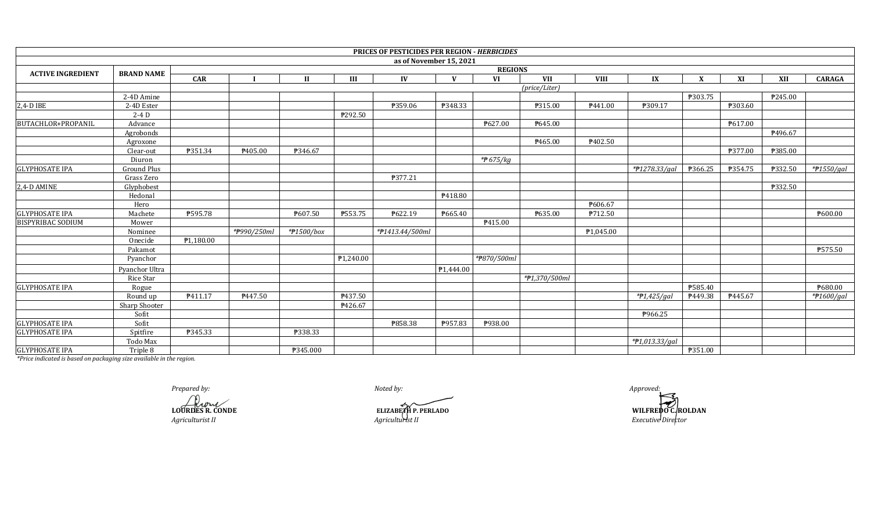|                           |                         |                |             |                |                        | PRICES OF PESTICIDES PER REGION - HERBICIDES |              |             |               |             |                |              |         |         |               |
|---------------------------|-------------------------|----------------|-------------|----------------|------------------------|----------------------------------------------|--------------|-------------|---------------|-------------|----------------|--------------|---------|---------|---------------|
|                           |                         |                |             |                |                        | as of November 15, 2021                      |              |             |               |             |                |              |         |         |               |
| <b>ACTIVE INGREDIENT</b>  | <b>BRAND NAME</b>       | <b>REGIONS</b> |             |                |                        |                                              |              |             |               |             |                |              |         |         |               |
|                           |                         | <b>CAR</b>     |             | $\mathbf{I}$   | III                    | IV                                           | $\mathbf{V}$ | <b>VI</b>   | <b>VII</b>    | <b>VIII</b> | IX             | $\mathbf{X}$ | XI      | XII     | <b>CARAGA</b> |
|                           |                         |                |             |                |                        |                                              |              |             | (price/Liter) |             |                |              |         |         |               |
|                           | 2-4D Amine              |                |             |                |                        |                                              |              |             |               |             |                | ₱303.75      |         | ₱245.00 |               |
| 2,4-D IBE                 | $\overline{2-4D}$ Ester |                |             |                |                        | ₱359.06                                      | P348.33      |             | P315.00       | P441.00     | ₱309.17        |              | ₱303.60 |         |               |
|                           | $2-4D$                  |                |             |                | P292.50                |                                              |              |             |               |             |                |              |         |         |               |
| <b>BUTACHLOR+PROPANIL</b> | Advance                 |                |             |                |                        |                                              |              | ₱627.00     | ₱645.00       |             |                |              | P617.00 |         |               |
|                           | Agrobonds               |                |             |                |                        |                                              |              |             |               |             |                |              |         | P496.67 |               |
|                           | Agroxone                |                |             |                |                        |                                              |              |             | ₱465.00       | P402.50     |                |              |         |         |               |
|                           | Clear-out               | P351.34        | P405.00     | F346.67        |                        |                                              |              |             |               |             |                |              | ₱377.00 | ₱385.00 |               |
|                           | Diuron                  |                |             |                |                        |                                              |              | $*$ 675/kg  |               |             |                |              |         |         |               |
| <b>GLYPHOSATE IPA</b>     | <b>Ground Plus</b>      |                |             |                |                        |                                              |              |             |               |             | *#1278.33/gal  | ₱366.25      | P354.75 | ₱332.50 | $*$ P1550/gal |
|                           | Grass Zero              |                |             |                |                        | ₱377.21                                      |              |             |               |             |                |              |         |         |               |
| 2,4-D AMINE               | Glyphobest              |                |             |                |                        |                                              |              |             |               |             |                |              |         | ₱332.50 |               |
|                           | Hedonal                 |                |             |                |                        |                                              | P418.80      |             |               |             |                |              |         |         |               |
|                           | Hero                    |                |             |                |                        |                                              |              |             |               | ₱606.67     |                |              |         |         |               |
| <b>GLYPHOSATE IPA</b>     | Machete                 | ₱595.78        |             | ₱607.50        | ₱553.75                | P622.19                                      | ₱665.40      |             | ₱635.00       | P712.50     |                |              |         |         | P600.00       |
| <b>BISPYRIBAC SODIUM</b>  | Mower                   |                |             |                |                        |                                              |              | P415.00     |               |             |                |              |         |         |               |
|                           | Nominee                 |                | *#990/250ml | *#1500/box     |                        | *#1413.44/500ml                              |              |             |               | P1,045.00   |                |              |         |         |               |
|                           | Onecide                 | P1,180.00      |             |                |                        |                                              |              |             |               |             |                |              |         |         |               |
|                           | Pakamot                 |                |             |                |                        |                                              |              |             |               |             |                |              |         |         | P575.50       |
|                           | Pyanchor                |                |             |                | P <sub>1</sub> ,240.00 |                                              |              | *#870/500ml |               |             |                |              |         |         |               |
|                           | Pyanchor Ultra          |                |             |                |                        |                                              | P1,444.00    |             |               |             |                |              |         |         |               |
|                           | Rice Star               |                |             |                |                        |                                              |              |             | *#1,370/500ml |             |                |              |         |         |               |
| <b>GLYPHOSATE IPA</b>     | Rogue                   |                |             |                |                        |                                              |              |             |               |             |                | ₱585.40      |         |         | ₱680.00       |
|                           | Round up                | P411.17        | P447.50     |                | P437.50                |                                              |              |             |               |             | $*P1,425/gal$  | P449.38      | P445.67 |         | *#1600/gal    |
|                           | Sharp Shooter           |                |             |                | ₱426.67                |                                              |              |             |               |             |                |              |         |         |               |
|                           | Sofit                   |                |             |                |                        |                                              |              |             |               |             | P966.25        |              |         |         |               |
| <b>GLYPHOSATE IPA</b>     | Sofit                   |                |             |                |                        | ₱858.38                                      | P957.83      | ₱938.00     |               |             |                |              |         |         |               |
| <b>GLYPHOSATE IPA</b>     | Spitfire                | P345.33        |             | <b>P338.33</b> |                        |                                              |              |             |               |             |                |              |         |         |               |
|                           | Todo Max                |                |             |                |                        |                                              |              |             |               |             | *#1,013.33/gal |              |         |         |               |
| <b>GLYPHOSATE IPA</b>     | Triple 8                |                |             | ₱345.000       |                        |                                              |              |             |               |             |                | ₱351.00      |         |         |               |

*Prepared by: Approved:*

**LOURDES R. CONDE** *Agriculturist II*

*Noted by:*

*Agriculturist II*

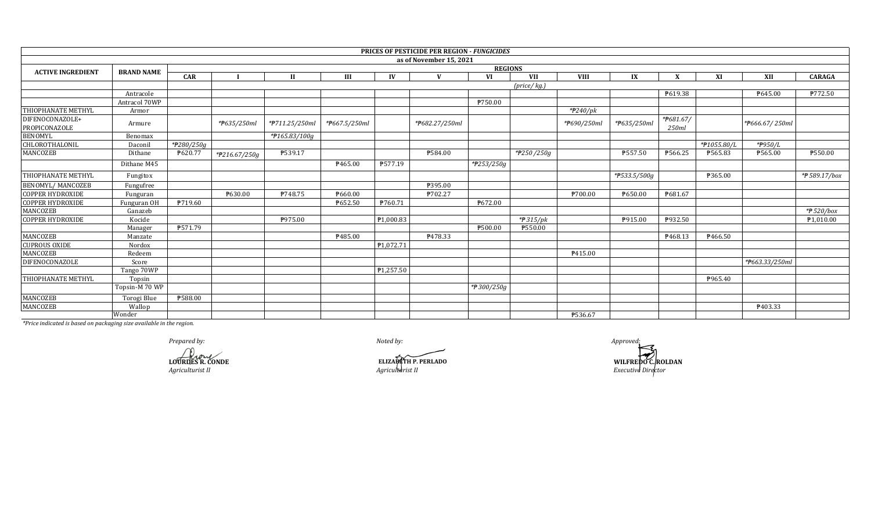|                                  |                   |            |                |                |                            |           | <b>PRICES OF PESTICIDE PER REGION - FUNGICIDES</b> |            |                             |             |                           |                    |             |                |               |  |
|----------------------------------|-------------------|------------|----------------|----------------|----------------------------|-----------|----------------------------------------------------|------------|-----------------------------|-------------|---------------------------|--------------------|-------------|----------------|---------------|--|
|                                  |                   |            |                |                |                            |           | as of November 15, 2021                            |            |                             |             |                           |                    |             |                |               |  |
| <b>ACTIVE INGREDIENT</b>         | <b>BRAND NAME</b> |            | <b>REGIONS</b> |                |                            |           |                                                    |            |                             |             |                           |                    |             |                |               |  |
|                                  |                   | <b>CAR</b> |                | $\mathbf{H}$   | III                        | IV        | $\mathbf{V}$                                       | VI         | <b>VII</b>                  | <b>VIII</b> | IX                        |                    | XI          | XII            | <b>CARAGA</b> |  |
|                                  |                   |            |                |                |                            |           |                                                    |            | $(\text{price}/\text{kg.})$ |             |                           |                    |             |                |               |  |
|                                  | Antracole         |            |                |                |                            |           |                                                    |            |                             |             |                           | ₱619.38            |             | P645.00        | P772.50       |  |
|                                  | Antracol 70WP     |            |                |                |                            |           |                                                    | ₱750.00    |                             |             |                           |                    |             |                |               |  |
| <b>THIOPHANATE METHYL</b>        | Armor             |            |                |                |                            |           |                                                    |            |                             | *#240/pk    |                           |                    |             |                |               |  |
| DIFENOCONAZOLE+<br>PROPICONAZOLE | Armure            |            | *#635/250ml    | *#711.25/250ml | * <del>P</del> 667.5/250ml |           | *#682.27/250ml                                     |            |                             | *#690/250ml | *#635/250ml               | *#681.67/<br>250ml |             | *P666.67/250ml |               |  |
| <b>BENOMYL</b>                   | Benomax           |            |                | *#165.83/100g  |                            |           |                                                    |            |                             |             |                           |                    |             |                |               |  |
| CHLOROTHALONIL                   | Daconil           | *#280/250g |                |                |                            |           |                                                    |            |                             |             |                           |                    | *#1055.80/L | *P950/L        |               |  |
| MANCOZEB                         | Dithane           | ₱620.77    | *#216.67/250g  | ₱539.17        |                            |           | ₱584.00                                            |            | *P250/250g                  |             | ₱557.50                   | ₱566.25            | ₱565.83     | P565.00        | ₱550.00       |  |
|                                  | Dithane M45       |            |                |                | P465.00                    | ₱577.19   |                                                    | *#253/250g |                             |             |                           |                    |             |                |               |  |
| <b>THIOPHANATE METHYL</b>        | Fungitox          |            |                |                |                            |           |                                                    |            |                             |             | * <del>P</del> 533.5/500g |                    | ₱365.00     |                | *# 589.17/box |  |
| <b>BENOMYL/ MANCOZEB</b>         | Fungufree         |            |                |                |                            |           | ₱395.00                                            |            |                             |             |                           |                    |             |                |               |  |
| <b>COPPER HYDROXIDE</b>          | Funguran          |            | ₱630.00        | P748.75        | P660.00                    |           | ₱702.27                                            |            |                             | P700.00     | ₱650.00                   | P681.67            |             |                |               |  |
| <b>COPPER HYDROXIDE</b>          | Funguran OH       | P719.60    |                |                | ₱652.50                    | ₱760.71   |                                                    | P672.00    |                             |             |                           |                    |             |                |               |  |
| MANCOZEB                         | Ganazeb           |            |                |                |                            |           |                                                    |            |                             |             |                           |                    |             |                | *# 520/box    |  |
| <b>COPPER HYDROXIDE</b>          | Kocide            |            |                | P975.00        |                            | ₱1,000.83 |                                                    |            | $*$ 315/pk                  |             | ₱915.00                   | ₱932.50            |             |                | P1,010.00     |  |
|                                  | Manager           | P571.79    |                |                |                            |           |                                                    | ₱500.00    | ₱550.00                     |             |                           |                    |             |                |               |  |
| MANCOZEB                         | Manzate           |            |                |                | P485.00                    |           | P478.33                                            |            |                             |             |                           | ₹468.13            | P466.50     |                |               |  |
| <b>CUPROUS OXIDE</b>             | Nordox            |            |                |                |                            | ₱1,072.71 |                                                    |            |                             |             |                           |                    |             |                |               |  |
| MANCOZEB                         | Redeem            |            |                |                |                            |           |                                                    |            |                             | P415.00     |                           |                    |             |                |               |  |
| <b>DIFENOCONAZOLE</b>            | Score             |            |                |                |                            |           |                                                    |            |                             |             |                           |                    |             | *#663.33/250ml |               |  |
|                                  | Tango 70WP        |            |                |                |                            | ₱1,257.50 |                                                    |            |                             |             |                           |                    |             |                |               |  |
| <b>THIOPHANATE METHYL</b>        | Topsin            |            |                |                |                            |           |                                                    |            |                             |             |                           |                    | P965.40     |                |               |  |
|                                  | Topsin-M 70 WP    |            |                |                |                            |           |                                                    | *P300/250g |                             |             |                           |                    |             |                |               |  |
| MANCOZEB                         | Torogi Blue       | ₱588.00    |                |                |                            |           |                                                    |            |                             |             |                           |                    |             |                |               |  |
| <b>MANCOZEB</b>                  | Wallop            |            |                |                |                            |           |                                                    |            |                             |             |                           |                    |             | P403.33        |               |  |
|                                  | Wonder            |            |                |                |                            |           |                                                    |            |                             | ₱536.67     |                           |                    |             |                |               |  |

*Prepared by: Approved:*

**LOURDES R. CONDE**

*Noted by:*

*Agriculturist II Executive Director Agriculturist II*

**Executive Director**<br>Executive Director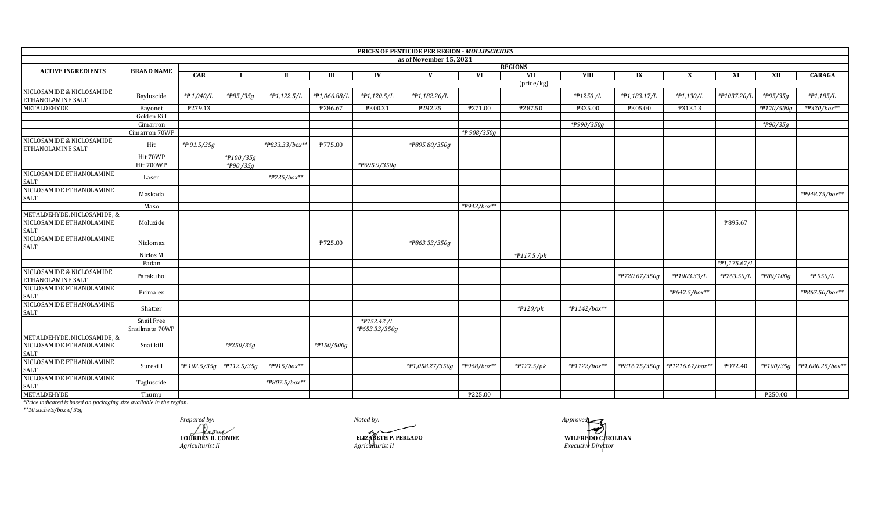|                                                                 |                   |                          |                        |                |              |               | PRICES OF PESTICIDE PER REGION - MOLLUSCICIDES |             |                       |                 |                  |                 |              |            |                  |
|-----------------------------------------------------------------|-------------------|--------------------------|------------------------|----------------|--------------|---------------|------------------------------------------------|-------------|-----------------------|-----------------|------------------|-----------------|--------------|------------|------------------|
|                                                                 |                   |                          |                        |                |              |               | as of November 15, 2021                        |             |                       |                 |                  |                 |              |            |                  |
| <b>ACTIVE INGREDIENTS</b>                                       | <b>BRAND NAME</b> |                          |                        |                |              |               |                                                |             | <b>REGIONS</b>        |                 |                  |                 |              |            |                  |
|                                                                 |                   | <b>CAR</b>               |                        | П.             | Ш            | IV            | V                                              | VI          | VII                   | VIII            | IX               | $\mathbf{X}$    | XI           | XII        | <b>CARAGA</b>    |
| NICLOSAMIDE & NICLOSAMIDE<br>ETHANOLAMINE SALT                  | Bayluscide        | $*$ $\cancel{P}$ 1,040/L | *#85/35g               | $*P1,122.5/L$  | *#1,066.88/L | *#1,120.5/L   | *#1,182.20/L                                   |             | (price/kg)            | *#1250/L        | $*P1,183.17/L$   | $*P1,130/L$     | *P1037.20/L  | *#95/35g   | $*P1,185/L$      |
| <b>METALDEHYDE</b>                                              | Bayonet           | ₱279.13                  |                        |                | ₱286.67      | ₱300.31       | ₱292.25                                        | P271.00     | ₱287.50               | ₱335.00         | P305.00          | P313.13         |              | *#170/500g | *#320/box**      |
|                                                                 | Golden Kill       |                          |                        |                |              |               |                                                |             |                       |                 |                  |                 |              |            |                  |
|                                                                 | Cimarron          |                          |                        |                |              |               |                                                |             |                       | *#990/350g      |                  |                 |              | *#90/35g   |                  |
|                                                                 | Cimarron 70WP     |                          |                        |                |              |               |                                                | *₱908/350g  |                       |                 |                  |                 |              |            |                  |
| NICLOSAMIDE & NICLOSAMIDE<br><b>ETHANOLAMINE SALT</b>           | Hit               | *P91.5/35g               |                        | *#833.33/box** | P775.00      |               | *P895.80/350g                                  |             |                       |                 |                  |                 |              |            |                  |
|                                                                 | Hit 70WP          |                          | *P100/35g              |                |              |               |                                                |             |                       |                 |                  |                 |              |            |                  |
|                                                                 | Hit 700WP         |                          | *#90/35g               |                |              | *P695.9/350g  |                                                |             |                       |                 |                  |                 |              |            |                  |
| NICLOSAMIDE ETHANOLAMINE<br><b>SALT</b>                         | Laser             |                          |                        | *#735/box**    |              |               |                                                |             |                       |                 |                  |                 |              |            |                  |
| NICLOSAMIDE ETHANOLAMINE<br>SALT                                | Maskada           |                          |                        |                |              |               |                                                |             |                       |                 |                  |                 |              |            | *#948.75/box**   |
|                                                                 | Maso              |                          |                        |                |              |               |                                                | *#943/box** |                       |                 |                  |                 |              |            |                  |
| METALDEHYDE, NICLOSAMIDE, &<br>NICLOSAMIDE ETHANOLAMINE<br>SALT | Moluxide          |                          |                        |                |              |               |                                                |             |                       |                 |                  |                 | P895.67      |            |                  |
| NICLOSAMIDE ETHANOLAMINE<br><b>SALT</b>                         | Niclomax          |                          |                        |                | ₱725.00      |               | *#863.33/350g                                  |             |                       |                 |                  |                 |              |            |                  |
|                                                                 | Niclos M          |                          |                        |                |              |               |                                                |             | $*$ P117.5/pk         |                 |                  |                 |              |            |                  |
|                                                                 | Padan             |                          |                        |                |              |               |                                                |             |                       |                 |                  |                 | *#1,175.67/L |            |                  |
| NICLOSAMIDE & NICLOSAMIDE<br><b>ETHANOLAMINE SALT</b>           | Parakuhol         |                          |                        |                |              |               |                                                |             |                       |                 | *#720.67/350g    | *#1003.33/L     | *#763.50/L   | *P80/100g  | *#950/L          |
| NICLOSAMIDE ETHANOLAMINE                                        | Primalex          |                          |                        |                |              |               |                                                |             |                       |                 |                  | *#647.5/box**   |              |            | *#867.50/box**   |
| SALT<br>NICLOSAMIDE ETHANOLAMINE<br><b>SALT</b>                 | Shatter           |                          |                        |                |              |               |                                                |             | $*$ #120/pk           | *#1142/box**    |                  |                 |              |            |                  |
|                                                                 | Snail Free        |                          |                        |                |              | *#752.42/L    |                                                |             |                       |                 |                  |                 |              |            |                  |
|                                                                 | Snailmate 70WP    |                          |                        |                |              | *P653.33/350g |                                                |             |                       |                 |                  |                 |              |            |                  |
| METALDEHYDE, NICLOSAMIDE, &<br>NICLOSAMIDE ETHANOLAMINE         | Snailkill         |                          | *#250/35g              |                | *#150/500g   |               |                                                |             |                       |                 |                  |                 |              |            |                  |
| SALT<br>NICLOSAMIDE ETHANOLAMINE<br>SALT                        | Surekill          | * $f{P}$ 102.5/35g       | $*$ <b>P</b> 112.5/35g | *#915/box**    |              |               | *#1,058.27/350g                                | *#968/box** | $*$ <b>P</b> 127.5/pk | $*$ P1122/box** | * $7816.75/350g$ | *#1216.67/box** | P972.40      | *#100/35g  | *#1,080.25/box** |
| NICLOSAMIDE ETHANOLAMINE<br>SALT<br>METALDEHYDE                 | Tagluscide        |                          |                        | *P807.5/box**  |              |               |                                                |             |                       |                 |                  |                 |              |            |                  |
|                                                                 | Thump             |                          |                        |                |              |               |                                                | P225.00     |                       |                 |                  |                 |              | ₱250.00    |                  |

*\*\*10 sachets/box of 35g*

**LOURDES R. CONDE** *Agriculturist II Prepared by: Approved:*

*Noted by:*

**ELIZABETH P. PERLADO**<br>*Agriculturist II* 

**ELIZABETH P. PERLADO WILFREDO C. ROLDAN** *Executive Director*